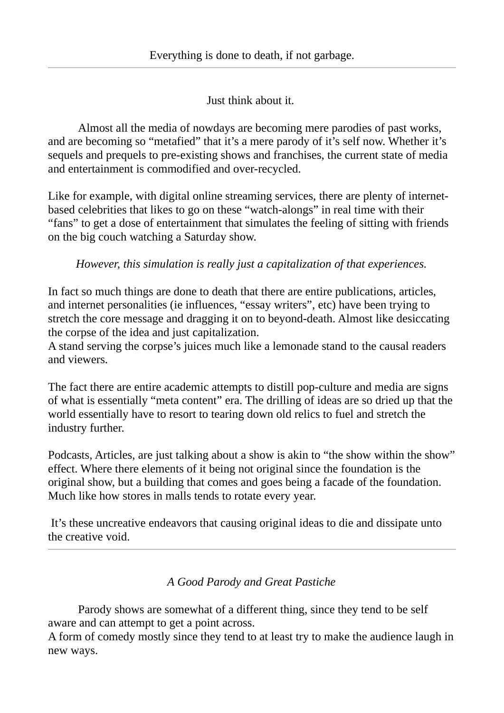Just think about it.

Almost all the media of nowdays are becoming mere parodies of past works, and are becoming so "metafied" that it's a mere parody of it's self now. Whether it's sequels and prequels to pre-existing shows and franchises, the current state of media and entertainment is commodified and over-recycled.

Like for example, with digital online streaming services, there are plenty of internetbased celebrities that likes to go on these "watch-alongs" in real time with their "fans" to get a dose of entertainment that simulates the feeling of sitting with friends on the big couch watching a Saturday show.

*However, this simulation is really just a capitalization of that experiences.*

In fact so much things are done to death that there are entire publications, articles, and internet personalities (ie influences, "essay writers", etc) have been trying to stretch the core message and dragging it on to beyond-death. Almost like desiccating the corpse of the idea and just capitalization.

A stand serving the corpse's juices much like a lemonade stand to the causal readers and viewers.

The fact there are entire academic attempts to distill pop-culture and media are signs of what is essentially "meta content" era. The drilling of ideas are so dried up that the world essentially have to resort to tearing down old relics to fuel and stretch the industry further.

Podcasts, Articles, are just talking about a show is akin to "the show within the show" effect. Where there elements of it being not original since the foundation is the original show, but a building that comes and goes being a facade of the foundation. Much like how stores in malls tends to rotate every year.

 It's these uncreative endeavors that causing original ideas to die and dissipate unto the creative void.

*A Good Parody and Great Pastiche*

Parody shows are somewhat of a different thing, since they tend to be self aware and can attempt to get a point across.

A form of comedy mostly since they tend to at least try to make the audience laugh in new ways.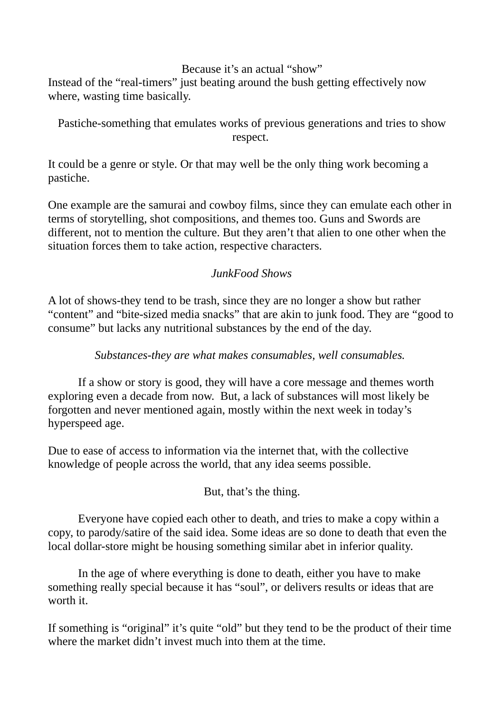#### Because it's an actual "show"

Instead of the "real-timers" just beating around the bush getting effectively now where, wasting time basically.

Pastiche-something that emulates works of previous generations and tries to show respect.

It could be a genre or style. Or that may well be the only thing work becoming a pastiche.

One example are the samurai and cowboy films, since they can emulate each other in terms of storytelling, shot compositions, and themes too. Guns and Swords are different, not to mention the culture. But they aren't that alien to one other when the situation forces them to take action, respective characters.

## *JunkFood Shows*

A lot of shows-they tend to be trash, since they are no longer a show but rather "content" and "bite-sized media snacks" that are akin to junk food. They are "good to consume" but lacks any nutritional substances by the end of the day.

*Substances-they are what makes consumables, well consumables.* 

If a show or story is good, they will have a core message and themes worth exploring even a decade from now. But, a lack of substances will most likely be forgotten and never mentioned again, mostly within the next week in today's hyperspeed age.

Due to ease of access to information via the internet that, with the collective knowledge of people across the world, that any idea seems possible.

But, that's the thing.

Everyone have copied each other to death, and tries to make a copy within a copy, to parody/satire of the said idea. Some ideas are so done to death that even the local dollar-store might be housing something similar abet in inferior quality.

In the age of where everything is done to death, either you have to make something really special because it has "soul", or delivers results or ideas that are worth it.

If something is "original" it's quite "old" but they tend to be the product of their time where the market didn't invest much into them at the time.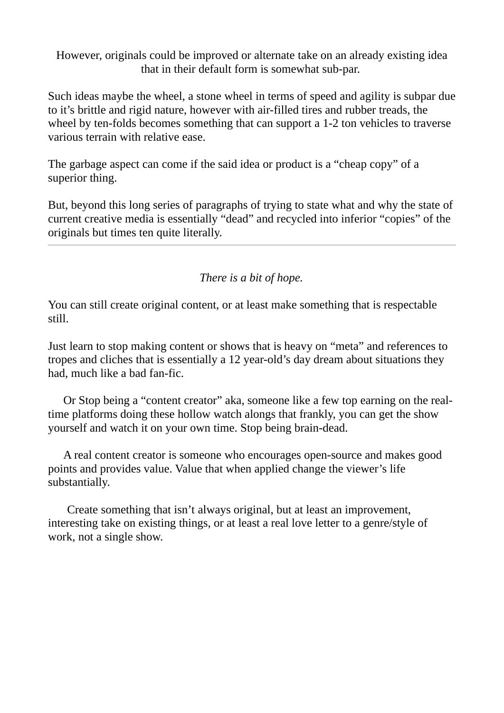However, originals could be improved or alternate take on an already existing idea that in their default form is somewhat sub-par.

Such ideas maybe the wheel, a stone wheel in terms of speed and agility is subpar due to it's brittle and rigid nature, however with air-filled tires and rubber treads, the wheel by ten-folds becomes something that can support a 1-2 ton vehicles to traverse various terrain with relative ease.

The garbage aspect can come if the said idea or product is a "cheap copy" of a superior thing.

But, beyond this long series of paragraphs of trying to state what and why the state of current creative media is essentially "dead" and recycled into inferior "copies" of the originals but times ten quite literally.

*There is a bit of hope.*

You can still create original content, or at least make something that is respectable still.

Just learn to stop making content or shows that is heavy on "meta" and references to tropes and cliches that is essentially a 12 year-old's day dream about situations they had, much like a bad fan-fic.

Or Stop being a "content creator" aka, someone like a few top earning on the realtime platforms doing these hollow watch alongs that frankly, you can get the show yourself and watch it on your own time. Stop being brain-dead.

A real content creator is someone who encourages open-source and makes good points and provides value. Value that when applied change the viewer's life substantially.

Create something that isn't always original, but at least an improvement, interesting take on existing things, or at least a real love letter to a genre/style of work, not a single show.